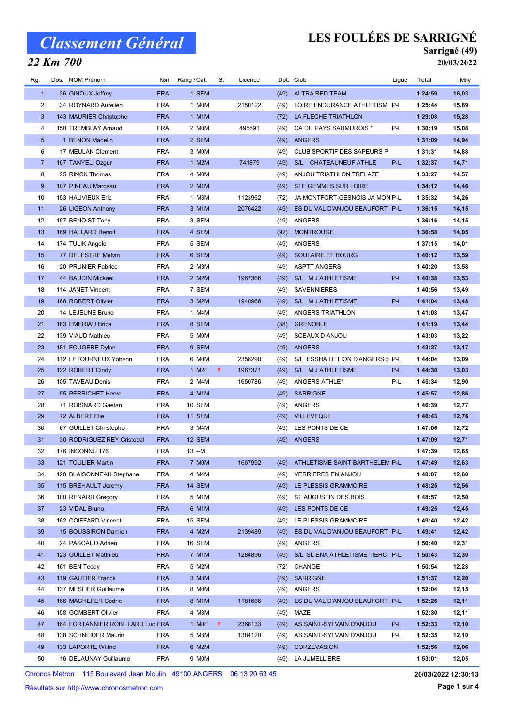### 22 Km 700

## LES FOULÉES DE SARRIGNÉ

#### Sarrigné (49) 20/03/2022

| Rg.            | Dos. NOM Prénom                  | Nat.       | Rang / Cat.        | S. | Licence |      | Dpt. Club                           | Ligue | Total   | Moy   |
|----------------|----------------------------------|------------|--------------------|----|---------|------|-------------------------------------|-------|---------|-------|
| $\mathbf{1}$   | 36 GINOUX Joffrey                | <b>FRA</b> | 1 SEM              |    |         | (49) | <b>ALTRA RED TEAM</b>               |       | 1:24:59 | 16,03 |
| 2              | 34 ROYNARD Aurelien              | <b>FRA</b> | 1 MOM              |    | 2150122 | (49) | LOIRE ENDURANCE ATHLETISM P-L       |       | 1:25:44 | 15,89 |
| 3              | 143 MAURIER Christophe           | <b>FRA</b> | 1 M1M              |    |         | (72) | LA FLECHE TRIATHLON                 |       | 1:29:08 | 15,28 |
| 4              | 150 TREMBLAY Arnaud              | <b>FRA</b> | 2 MOM              |    | 495891  | (49) | CA DU PAYS SAUMUROIS *              | P-L   | 1:30:19 | 15,08 |
| 5              | 1 BENON Madelin                  | <b>FRA</b> | 2 SEM              |    |         | (49) | <b>ANGERS</b>                       |       | 1:31:09 | 14,94 |
| 6              | 17 MEULAN Clement                | <b>FRA</b> | 3 MOM              |    |         | (49) | <b>CLUB SPORTIF DES SAPEURS P</b>   |       | 1:31:31 | 14,88 |
| $\overline{7}$ | 167 TANYELI Ozgur                | <b>FRA</b> | 1 M2M              |    | 741879  | (49) | S/L CHATEAUNEUF ATHLE               | P-L   | 1:32:37 | 14,71 |
| 8              | 25 RINCK Thomas                  | <b>FRA</b> | 4 MOM              |    |         | (49) | ANJOU TRIATHLON TRELAZE             |       | 1:33:27 | 14,57 |
| 9              | 107 PINEAU Marceau               | <b>FRA</b> | 2 M1M              |    |         | (49) | <b>STE GEMMES SUR LOIRE</b>         |       | 1:34:12 | 14,46 |
| 10             | 153 HAUVIEUX Eric                | <b>FRA</b> | 1 M3M              |    | 1123962 | (72) | JA MONTFORT-GESNOIS JA MON P-L      |       | 1:35:32 | 14,26 |
| 11             | 26 LIGEON Anthony                | <b>FRA</b> | 3 M1M              |    | 2076422 | (49) | ES DU VAL D'ANJOU BEAUFORT P-L      |       | 1:36:15 | 14,15 |
| 12             | 157 BENOIST Tony                 | <b>FRA</b> | 3 SEM              |    |         | (49) | ANGERS                              |       | 1:36:16 | 14,15 |
| 13             | 169 HALLARD Benoit               | <b>FRA</b> | 4 SEM              |    |         | (92) | <b>MONTROUGE</b>                    |       | 1:36:58 | 14,05 |
| 14             | 174 TULIK Angelo                 | <b>FRA</b> | 5 SEM              |    |         | (49) | <b>ANGERS</b>                       |       | 1:37:15 | 14,01 |
| 15             | 77 DELESTRE Melvin               | <b>FRA</b> | 6 SEM              |    |         | (49) | <b>SOULAIRE ET BOURG</b>            |       | 1:40:12 | 13,59 |
| 16             | 20 PRUNIER Fabrice               | <b>FRA</b> | 2 M3M              |    |         | (49) | <b>ASPTT ANGERS</b>                 |       | 1:40:20 | 13,58 |
| 17             | 44 BAUDIN Mickael                | <b>FRA</b> | 2 M2M              |    | 1967366 | (49) | S/L M J ATHLETISME                  | P-L   | 1:40:38 | 13,53 |
| 18             | 114 JANET Vincent                | <b>FRA</b> | 7 SEM              |    |         | (49) | <b>SAVENNIERES</b>                  |       | 1:40:56 | 13,49 |
| 19             | 168 ROBERT Olivier               | <b>FRA</b> | 3 M2M              |    | 1940968 | (49) | S/L M J ATHLETISME                  | P-L   | 1:41:04 | 13,48 |
| 20             | 14 LEJEUNE Bruno                 | <b>FRA</b> | 1 M4M              |    |         | (49) | ANGERS TRIATHLON                    |       | 1:41:08 | 13,47 |
| 21             | 163 EMERIAU Brice                | <b>FRA</b> | 8 SEM              |    |         | (38) | <b>GRENOBLE</b>                     |       | 1:41:19 | 13,44 |
| 22             | 139 VIAUD Mathieu                | <b>FRA</b> | 5 MOM              |    |         | (49) | SCEAUX D ANJOU                      |       | 1:43:03 | 13,22 |
| 23             | 151 FOUGERE Dylan                | <b>FRA</b> | 9 SEM              |    |         | (49) | <b>ANGERS</b>                       |       | 1:43:27 | 13,17 |
| 24             | 112 LETOURNEUX Yohann            | <b>FRA</b> | 6 MOM              |    | 2358290 | (49) | S/L ESSHA LE LION D'ANGERS S P-L    |       | 1:44:04 | 13,09 |
| 25             | 122 ROBERT Cindy                 | <b>FRA</b> | 1 M <sub>2</sub> F | F. | 1967371 | (49) | S/L M J ATHLETISME                  | P-L   | 1:44:30 | 13,03 |
| 26             | 105 TAVEAU Denis                 | <b>FRA</b> | 2 M4M              |    | 1650786 | (49) | ANGERS ATHLE*                       | P-L   | 1:45:34 | 12,90 |
| 27             | 55 PERRICHET Herve               | <b>FRA</b> | 4 M1M              |    |         | (49) | <b>SARRIGNE</b>                     |       | 1:45:57 | 12,86 |
| 28             | 71 ROISNARD Gaetan               | <b>FRA</b> | 10 SEM             |    |         | (49) | ANGERS                              |       | 1:46:39 | 12,77 |
| 29             | 72 ALBERT Elie                   | <b>FRA</b> | <b>11 SEM</b>      |    |         |      | (49) VILLEVEQUE                     |       | 1:46:43 | 12,76 |
| 30             | 67 GUILLET Christophe            | <b>FRA</b> | 3 M4M              |    |         | (49) | LES PONTS DE CE                     |       | 1:47:06 | 12,72 |
| 31             | 30 RODRIGUEZ REY Cristobal       | <b>FRA</b> | <b>12 SEM</b>      |    |         |      | (49) ANGERS                         |       | 1:47:09 | 12,71 |
| 32             | <b>176 INCONNU 176</b>           | <b>FRA</b> | $13 - M$           |    |         |      |                                     |       | 1:47:39 | 12,65 |
| 33             | 121 TOULIER Martin               | <b>FRA</b> | 7 MOM              |    | 1667992 |      | (49) ATHLETISME SAINT BARTHELEM P-L |       | 1:47:49 | 12,63 |
| 34             | 120 BLAISONNEAU Stephane         | <b>FRA</b> | 4 M4M              |    |         |      | (49) VERRIERES EN ANJOU             |       | 1:48:07 | 12,60 |
| 35             | 115 BREHAULT Jeremy              | <b>FRA</b> | 14 SEM             |    |         |      | (49) LE PLESSIS GRAMMOIRE           |       | 1:48:25 | 12,56 |
| 36             | 100 RENARD Gregory               | <b>FRA</b> | 5 M1M              |    |         | (49) | ST AUGUSTIN DES BOIS                |       | 1:48:57 | 12,50 |
| 37             | 23 VIDAL Bruno                   | <b>FRA</b> | 6 M1M              |    |         |      | (49) LES PONTS DE CE                |       | 1:49:25 | 12,45 |
| 38             | 162 COIFFARD Vincent             | <b>FRA</b> | 15 SEM             |    |         |      | (49) LE PLESSIS GRAMMOIRE           |       | 1:49:40 | 12,42 |
| 39             | 15 BOUSSIRON Damien              | <b>FRA</b> | 4 M2M              |    | 2139489 | (49) | ES DU VAL D'ANJOU BEAUFORT P-L      |       | 1:49:41 | 12,42 |
| 40             | 24 PASCAUD Adrien                | <b>FRA</b> | 16 SEM             |    |         | (49) | ANGERS                              |       | 1:50:40 | 12,31 |
| 41             | 123 GUILLET Matthieu             | <b>FRA</b> | 7 M1M              |    | 1284896 | (49) | S/L SL ENA ATHLETISME TIERC P-L     |       | 1:50:43 | 12,30 |
| 42             | 161 BEN Teddy                    | <b>FRA</b> | 5 M2M              |    |         |      | (72) CHANGE                         |       | 1:50:54 | 12,28 |
| 43             | 119 GAUTIER Franck               | <b>FRA</b> | 3 M3M              |    |         |      | (49) SARRIGNE                       |       | 1:51:37 | 12,20 |
| 44             | 137 MESLIER Guillaume            | <b>FRA</b> | 8 MOM              |    |         |      | (49) ANGERS                         |       | 1:52:04 | 12,15 |
| 45             | 166 MACHEFER Cedric              | <b>FRA</b> | 8 M1M              |    | 1181666 | (49) | ES DU VAL D'ANJOU BEAUFORT P-L      |       | 1:52:26 | 12,11 |
| 46             | 158 GOMBERT Olivier              | <b>FRA</b> | 4 M3M              |    |         | (49) | MAZE                                |       | 1:52:30 | 12,11 |
| 47             | 164 FORTANNIER ROBILLARD Luc FRA |            | 1 MOF              | F. | 2368133 | (49) | AS SAINT-SYLVAIN D'ANJOU            | P-L   | 1:52:33 | 12,10 |
| 48             | 138 SCHNEIDER Maurin             | <b>FRA</b> | 5 M3M              |    | 1384120 | (49) | AS SAINT-SYLVAIN D'ANJOU            | P-L   | 1:52:35 | 12,10 |
|                |                                  |            |                    |    |         |      |                                     |       |         |       |
| 49             | 133 LAPORTE Wilfrid              | <b>FRA</b> | 6 M2M              |    |         | (49) | <b>CORZEVASION</b>                  |       | 1:52:56 | 12,06 |
| 50             | 16 DELAUNAY Guillaume            | <b>FRA</b> | 9 MOM              |    |         |      | (49) LA JUMELLIERE                  |       | 1:53:01 | 12,05 |

Chronos Metron 115 Boulevard Jean Moulin 49100 ANGERS 06 13 20 63 45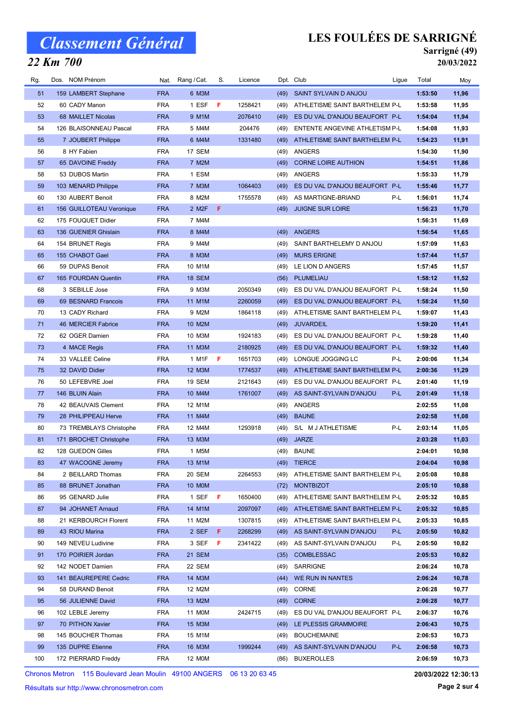### 22 Km 700

## LES FOULÉES DE SARRIGNÉ

#### Sarrigné (49) 20/03/2022

| Rg. | Dos. NOM Prénom          | Nat.       | Rang / Cat.        | S. | Licence |      | Dpt. Club                           | Ligue | Total   | Moy   |
|-----|--------------------------|------------|--------------------|----|---------|------|-------------------------------------|-------|---------|-------|
| 51  | 159 LAMBERT Stephane     | <b>FRA</b> | 6 M3M              |    |         | (49) | <b>SAINT SYLVAIN D ANJOU</b>        |       | 1:53:50 | 11,96 |
| 52  | 60 CADY Manon            | <b>FRA</b> | 1 ESF              | F  | 1258421 | (49) | ATHLETISME SAINT BARTHELEM P-L      |       | 1:53:58 | 11,95 |
| 53  | 68 MAILLET Nicolas       | <b>FRA</b> | 9 M1M              |    | 2076410 | (49) | ES DU VAL D'ANJOU BEAUFORT P-L      |       | 1:54:04 | 11,94 |
| 54  | 126 BLAISONNEAU Pascal   | FRA        | 5 M4M              |    | 204476  | (49) | ENTENTE ANGEVINE ATHLETISM P-L      |       | 1:54:08 | 11,93 |
| 55  | 7 JOUBERT Philippe       | <b>FRA</b> | 6 M4M              |    | 1331480 | (49) | ATHLETISME SAINT BARTHELEM P-L      |       | 1:54:23 | 11,91 |
| 56  | 8 HY Fabien              | <b>FRA</b> | 17 SEM             |    |         | (49) | ANGERS                              |       | 1:54:30 | 11,90 |
| 57  | 65 DAVOINE Freddy        | <b>FRA</b> | 7 M2M              |    |         | (49) | <b>CORNE LOIRE AUTHION</b>          |       | 1:54:51 | 11,86 |
| 58  | 53 DUBOS Martin          | FRA        | 1 ESM              |    |         | (49) | ANGERS                              |       | 1:55:33 | 11,79 |
| 59  | 103 MENARD Philippe      | <b>FRA</b> | 7 M3M              |    | 1064403 | (49) | ES DU VAL D'ANJOU BEAUFORT P-L      |       | 1:55:46 | 11,77 |
| 60  | 130 AUBERT Benoit        | <b>FRA</b> | 8 M2M              |    | 1755578 | (49) | AS MARTIGNE-BRIAND                  | P-L   | 1:56:01 | 11,74 |
| 61  | 156 GUILLOTEAU Veronique | <b>FRA</b> | 2 M <sub>2</sub> F | F  |         | (49) | <b>JUIGNE SUR LOIRE</b>             |       | 1:56:23 | 11,70 |
| 62  | 175 FOUQUET Didier       | <b>FRA</b> | 7 M4M              |    |         |      |                                     |       | 1:56:31 | 11,69 |
| 63  | 136 GUENIER Ghislain     | <b>FRA</b> | 8 M4M              |    |         | (49) | <b>ANGERS</b>                       |       | 1:56:54 | 11,65 |
| 64  | 154 BRUNET Regis         | <b>FRA</b> | 9 M4M              |    |         | (49) | SAINT BARTHELEMY D ANJOU            |       | 1:57:09 | 11,63 |
| 65  | 155 CHABOT Gael          | <b>FRA</b> | 8 M3M              |    |         | (49) | <b>MURS ERIGNE</b>                  |       | 1:57:44 | 11,57 |
| 66  | 59 DUPAS Benoit          | FRA        | 10 M1M             |    |         | (49) | LE LION D ANGERS                    |       | 1:57:45 | 11,57 |
| 67  | 165 FOURDAN Quentin      | <b>FRA</b> | <b>18 SEM</b>      |    |         | (56) | PLUMELIAU                           |       | 1:58:12 | 11,52 |
| 68  | 3 SEBILLE Jose           | <b>FRA</b> | 9 M3M              |    | 2050349 | (49) | ES DU VAL D'ANJOU BEAUFORT P-L      |       | 1:58:24 | 11,50 |
| 69  | 69 BESNARD Francois      | <b>FRA</b> | 11 M1M             |    | 2260059 | (49) | ES DU VAL D'ANJOU BEAUFORT P-L      |       | 1:58:24 | 11,50 |
| 70  | 13 CADY Richard          | <b>FRA</b> | 9 M2M              |    | 1864118 | (49) | ATHLETISME SAINT BARTHELEM P-L      |       | 1:59:07 | 11,43 |
| 71  | 46 MERCIER Fabrice       | <b>FRA</b> | 10 M2M             |    |         | (49) | <b>JUVARDEIL</b>                    |       | 1:59:20 | 11,41 |
| 72  | 62 OGER Damien           | <b>FRA</b> | 10 M3M             |    | 1924183 | (49) | ES DU VAL D'ANJOU BEAUFORT P-L      |       | 1:59:28 | 11,40 |
| 73  | 4 MACE Regis             | <b>FRA</b> | 11 M3M             |    | 2180925 | (49) | ES DU VAL D'ANJOU BEAUFORT P-L      |       | 1:59:32 | 11,40 |
| 74  | 33 VALLEE Celine         | <b>FRA</b> | 1 M1F              | F  | 1651703 | (49) | LONGUE JOGGING LC                   | P-L   | 2:00:06 | 11,34 |
| 75  | 32 DAVID Didier          | <b>FRA</b> | 12 M3M             |    | 1774537 | (49) | ATHLETISME SAINT BARTHELEM P-L      |       | 2:00:36 | 11,29 |
| 76  | 50 LEFEBVRE Joel         | <b>FRA</b> | 19 SEM             |    | 2121643 | (49) | ES DU VAL D'ANJOU BEAUFORT P-L      |       | 2:01:40 | 11,19 |
| 77  | 146 BLUIN Alain          | <b>FRA</b> | 10 M4M             |    | 1761007 | (49) | AS SAINT-SYLVAIN D'ANJOU            | P-L   | 2:01:49 | 11,18 |
| 78  | 42 BEAUVAIS Clement      | FRA        | 12 M1M             |    |         | (49) | ANGERS                              |       | 2:02:55 | 11,08 |
| 79  | 28 PHILIPPEAU Herve      | <b>FRA</b> | 11 M4M             |    |         | (49) | <b>BAUNE</b>                        |       | 2:02:58 | 11,08 |
| 80  | 73 TREMBLAYS Christophe  | FRA        | 12 M4M             |    | 1293918 | (49) | S/L M J ATHLETISME                  | P-L   | 2:03:14 | 11,05 |
| 81  | 171 BROCHET Christophe   | <b>FRA</b> | 13 M3M             |    |         | (49) | <b>JARZE</b>                        |       | 2:03:28 | 11,03 |
| 82  | 128 GUEDON Gilles        | FRA        | 1 M5M              |    |         |      | (49) BAUNE                          |       | 2:04:01 | 10,98 |
| 83  | 47 WACOGNE Jeremy        | <b>FRA</b> | 13 M1M             |    |         |      | (49) TIERCE                         |       | 2:04:04 | 10,98 |
| 84  | 2 BEILLARD Thomas        | FRA        | 20 SEM             |    | 2264553 |      | (49) ATHLETISME SAINT BARTHELEM P-L |       | 2:05:08 | 10,88 |
| 85  | 88 BRUNET Jonathan       | <b>FRA</b> | 10 MOM             |    |         | (72) | <b>MONTBIZOT</b>                    |       | 2:05:10 | 10,88 |
| 86  | 95 GENARD Julie          | FRA        | 1 SEF F            |    | 1650400 |      | (49) ATHLETISME SAINT BARTHELEM P-L |       | 2:05:32 | 10,85 |
| 87  | 94 JOHANET Arnaud        | <b>FRA</b> | 14 M1M             |    | 2097097 | (49) | ATHLETISME SAINT BARTHELEM P-L      |       | 2:05:32 | 10,85 |
| 88  | 21 KERBOURCH Florent     | FRA        | 11 M2M             |    | 1307815 | (49) | ATHLETISME SAINT BARTHELEM P-L      |       | 2:05:33 | 10,85 |
| 89  | 43 RIOU Marina           | <b>FRA</b> | 2 SEF              | F. | 2268299 | (49) | AS SAINT-SYLVAIN D'ANJOU            | P-L   | 2:05:50 | 10,82 |
| 90  | 149 NEVEU Ludivine       | FRA        | 3 SEF              | F. | 2341422 |      | (49) AS SAINT-SYLVAIN D'ANJOU       | P-L   | 2:05:50 | 10,82 |
| 91  | 170 POIRIER Jordan       | <b>FRA</b> | <b>21 SEM</b>      |    |         | (35) | <b>COMBLESSAC</b>                   |       | 2:05:53 | 10,82 |
| 92  | 142 NODET Damien         | <b>FRA</b> | 22 SEM             |    |         |      | (49) SARRIGNE                       |       | 2:06:24 | 10,78 |
| 93  | 141 BEAUREPERE Cedric    | <b>FRA</b> | 14 M3M             |    |         |      | (44) WE RUN IN NANTES               |       | 2:06:24 | 10,78 |
| 94  | 58 DURAND Benoit         | FRA        | 12 M2M             |    |         |      | (49) CORNE                          |       | 2:06:28 | 10,77 |
| 95  | 56 JULIENNE David        | <b>FRA</b> | 13 M2M             |    |         |      | (49) CORNE                          |       | 2:06:28 | 10,77 |
| 96  | 102 LEBLE Jeremy         | FRA        | 11 M0M             |    | 2424715 | (49) | ES DU VAL D'ANJOU BEAUFORT P-L      |       | 2:06:37 | 10,76 |
| 97  | 70 PITHON Xavier         | <b>FRA</b> | 15 M3M             |    |         |      | (49) LE PLESSIS GRAMMOIRE           |       | 2:06:43 | 10,75 |
| 98  | 145 BOUCHER Thomas       | FRA        | 15 M1M             |    |         |      | (49) BOUCHEMAINE                    |       | 2:06:53 | 10,73 |
| 99  | 135 DUPRE Etienne        | <b>FRA</b> | 16 M3M             |    | 1999244 |      | (49) AS SAINT-SYLVAIN D'ANJOU       | P-L   | 2:06:58 | 10,73 |
|     |                          |            |                    |    |         |      |                                     |       |         |       |
| 100 | 172 PIERRARD Freddy      | FRA        | 12 M0M             |    |         | (86) | <b>BUXEROLLES</b>                   |       | 2:06:59 | 10,73 |

Chronos Metron 115 Boulevard Jean Moulin 49100 ANGERS 06 13 20 63 45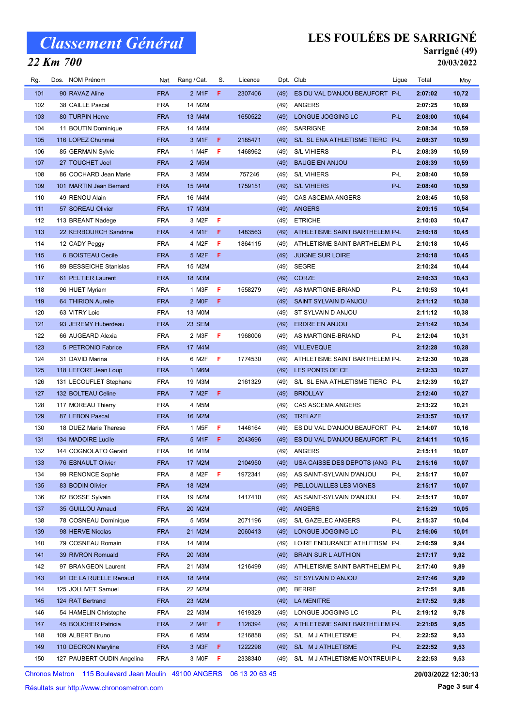### 22 Km 700

## LES FOULÉES DE SARRIGNÉ

#### Sarrigné (49) 20/03/2022

| Rg.        | Dos. NOM Prénom                       | Nat.                     | Rang / Cat.        | S.  | Licence |              | Dpt. Club                                                | Ligue | Total              | Moy            |
|------------|---------------------------------------|--------------------------|--------------------|-----|---------|--------------|----------------------------------------------------------|-------|--------------------|----------------|
| 101        | 90 RAVAZ Aline                        | <b>FRA</b>               | 2 M1F              | F.  | 2307406 | (49)         | ES DU VAL D'ANJOU BEAUFORT P-L                           |       | 2:07:02            | 10,72          |
| 102        | 38 CAILLE Pascal                      | <b>FRA</b>               | 14 M2M             |     |         | (49)         | ANGERS                                                   |       | 2:07:25            | 10,69          |
| 103        | 80 TURPIN Herve                       | <b>FRA</b>               | 13 M4M             |     | 1650522 | (49)         | LONGUE JOGGING LC                                        | P-L   | 2:08:00            | 10,64          |
| 104        | 11 BOUTIN Dominique                   | <b>FRA</b>               | 14 M4M             |     |         | (49)         | SARRIGNE                                                 |       | 2:08:34            | 10,59          |
| 105        | 116 LOPEZ Chunmei                     | <b>FRA</b>               | 3 M1F              | F   | 2185471 | (49)         | S/L SL ENA ATHLETISME TIERC P-L                          |       | 2:08:37            | 10,59          |
| 106        | 85 GERMAIN Sylvie                     | <b>FRA</b>               | 1 M4F              | F   | 1468962 | (49)         | <b>S/L VIHIERS</b>                                       | P-L   | 2:08:39            | 10,59          |
| 107        | 27 TOUCHET Joel                       | <b>FRA</b>               | 2 M <sub>5</sub> M |     |         | (49)         | <b>BAUGE EN ANJOU</b>                                    |       | 2:08:39            | 10,59          |
| 108        | 86 COCHARD Jean Marie                 | <b>FRA</b>               | 3 M5M              |     | 757246  | (49)         | <b>S/L VIHIERS</b>                                       | P-L   | 2:08:40            | 10,59          |
| 109        | 101 MARTIN Jean Bernard               | <b>FRA</b>               | 15 M4M             |     | 1759151 | (49)         | <b>S/L VIHIERS</b>                                       | P-L   | 2:08:40            | 10,59          |
| 110        | 49 RENOU Alain                        | <b>FRA</b>               | 16 M4M             |     |         | (49)         | <b>CAS ASCEMA ANGERS</b>                                 |       | 2:08:45            | 10,58          |
| 111        | 57 SOREAU Olivier                     | <b>FRA</b>               | 17 M3M             |     |         | (49)         | ANGERS                                                   |       | 2:09:15            | 10,54          |
| 112        | 113 BREANT Nadege                     | <b>FRA</b>               | 3 M2F              | F   |         | (49)         | <b>ETRICHE</b>                                           |       | 2:10:03            | 10,47          |
| 113        | 22 KERBOURCH Sandrine                 | <b>FRA</b>               | 4 M1F              | F   | 1483563 | (49)         | ATHLETISME SAINT BARTHELEM P-L                           |       | 2:10:18            | 10,45          |
| 114        | 12 CADY Peggy                         | <b>FRA</b>               | 4 M2F              | F   | 1864115 | (49)         | ATHLETISME SAINT BARTHELEM P-L                           |       | 2:10:18            | 10,45          |
| 115        | 6 BOISTEAU Cecile                     | <b>FRA</b>               | 5 M2F              | F   |         | (49)         | <b>JUIGNE SUR LOIRE</b>                                  |       | 2:10:18            | 10,45          |
| 116        | 89 BESSEICHE Stanislas                | <b>FRA</b>               | 15 M2M             |     |         | (49)         | SEGRE                                                    |       | 2:10:24            | 10,44          |
| 117        | 61 PELTIER Laurent                    | <b>FRA</b>               | 18 M3M             |     |         | (49)         | <b>CORZE</b>                                             |       | 2:10:33            | 10,43          |
| 118        | 96 HUET Myriam                        | <b>FRA</b>               | 1 M3F              | F   | 1558279 | (49)         | AS MARTIGNE-BRIAND                                       | P-L   | 2:10:53            | 10,41          |
| 119        | 64 THIRION Aurelie                    | <b>FRA</b>               | 2 MOF              | F   |         | (49)         | SAINT SYLVAIN D ANJOU                                    |       | 2:11:12            | 10,38          |
| 120        | 63 VITRY Loic                         | <b>FRA</b>               | 13 M0M             |     |         | (49)         | ST SYLVAIN D ANJOU                                       |       | 2:11:12            | 10,38          |
| 121        | 93 JEREMY Huberdeau                   | <b>FRA</b>               | 23 SEM             |     |         | (49)         | <b>ERDRE EN ANJOU</b>                                    |       | 2:11:42            | 10,34          |
| 122        | 66 AUGEARD Alexia                     | <b>FRA</b>               | 2 M3F              | F   | 1968006 | (49)         | AS MARTIGNE-BRIAND                                       | P-L   | 2:12:04            | 10,31          |
| 123        | 5 PETRONIO Fabrice                    | <b>FRA</b>               | 17 M4M             |     |         | (49)         | <b>VILLEVEQUE</b>                                        |       | 2:12:28            | 10,28          |
| 124        | 31 DAVID Marina                       | <b>FRA</b>               | 6 M2F              | F   | 1774530 | (49)         | ATHLETISME SAINT BARTHELEM P-L                           |       | 2:12:30            | 10,28          |
| 125        | 118 LEFORT Jean Loup                  | <b>FRA</b>               | 1 M6M              |     |         | (49)         | LES PONTS DE CE                                          |       | 2:12:33            | 10,27          |
| 126        | 131 LECOUFLET Stephane                | <b>FRA</b>               | 19 M3M             |     | 2161329 | (49)         | S/L SL ENA ATHLETISME TIERC P-L                          |       | 2:12:39            | 10,27          |
| 127        |                                       | <b>FRA</b>               | 7 M <sub>2</sub> F | F   |         |              |                                                          |       |                    |                |
| 128        | 132 BOLTEAU Celine                    | <b>FRA</b>               | 4 M5M              |     |         | (49)<br>(49) | <b>BRIOLLAY</b><br>CAS ASCEMA ANGERS                     |       | 2:12:40<br>2:13:22 | 10,27<br>10,21 |
| 129        | 117 MOREAU Thierry<br>87 LEBON Pascal | <b>FRA</b>               | 16 M2M             |     |         |              | <b>TRELAZE</b>                                           |       | 2:13:57            |                |
| 130        | 18 DUEZ Marie Therese                 | <b>FRA</b>               | 1 M <sub>5</sub> F | F   | 1446164 | (49)<br>(49) | ES DU VAL D'ANJOU BEAUFORT P-L                           |       | 2:14:07            | 10,17<br>10,16 |
| 131        | 134 MADOIRE Lucile                    | <b>FRA</b>               | 5 M1F              | -F. | 2043696 |              | ES DU VAL D'ANJOU BEAUFORT P-L                           |       | 2:14:11            |                |
| 132        | 144 COGNOLATO Gerald                  | <b>FRA</b>               | 16 M1M             |     |         | (49)         | ANGERS                                                   |       | 2:15:11            | 10,15<br>10,07 |
| 133        | 76 ESNAULT Olivier                    | <b>FRA</b>               | 17 M2M             |     | 2104950 | (49)         |                                                          |       | 2:15:16            | 10,07          |
| 134        |                                       | <b>FRA</b>               |                    | F.  |         |              | (49) USA CAISSE DES DEPOTS (ANG P-L                      |       |                    |                |
| 135        | 99 RENONCE Sophie<br>83 BODIN Olivier | <b>FRA</b>               | 8 M2F<br>18 M2M    |     | 1972341 |              | (49) AS SAINT-SYLVAIN D'ANJOU<br>PELLOUAILLES LES VIGNES | P-L   | 2:15:17<br>2:15:17 | 10,07<br>10,07 |
|            |                                       |                          |                    |     |         | (49)         |                                                          | P-L   |                    |                |
| 136        | 82 BOSSE Sylvain<br>35 GUILLOU Arnaud | <b>FRA</b>               | 19 M2M             |     | 1417410 | (49)         | AS SAINT-SYLVAIN D'ANJOU                                 |       | 2:15:17            | 10,07          |
| 137        |                                       | <b>FRA</b>               | 20 M2M             |     |         | (49)         | ANGERS                                                   | P-L   | 2:15:29            | 10,05          |
| 138        | 78 COSNEAU Dominique                  | <b>FRA</b>               | 5 M5M              |     | 2071196 | (49)         | S/L GAZELEC ANGERS                                       |       | 2:15:37            | 10,04          |
| 139<br>140 | 98 HERVE Nicolas<br>79 COSNEAU Romain | <b>FRA</b><br><b>FRA</b> | 21 M2M<br>14 M0M   |     | 2060413 | (49)         | LONGUE JOGGING LC<br>LOIRE ENDURANCE ATHLETISM P-L       | P-L   | 2:16:06<br>2:16:59 | 10,01<br>9,94  |
| 141        |                                       |                          |                    |     |         | (49)         |                                                          |       |                    | 9,92           |
|            | 39 RIVRON Romuald                     | <b>FRA</b>               | 20 M3M             |     |         | (49)         | <b>BRAIN SUR L AUTHION</b>                               |       | 2:17:17            |                |
| 142        | 97 BRANGEON Laurent                   | <b>FRA</b>               | 21 M3M             |     | 1216499 | (49)         | ATHLETISME SAINT BARTHELEM P-L                           |       | 2:17:40            | 9,89           |
| 143        | 91 DE LA RUELLE Renaud                | <b>FRA</b>               | 18 M4M             |     |         | (49)         | ST SYLVAIN D ANJOU                                       |       | 2:17:46            | 9,89           |
| 144        | 125 JOLLIVET Samuel                   | <b>FRA</b>               | 22 M2M             |     |         | (86)         | <b>BERRIE</b>                                            |       | 2:17:51            | 9,88           |
| 145        | 124 RAT Bertrand                      | <b>FRA</b>               | 23 M2M             |     |         | (49)         | LA MENITRE                                               |       | 2:17:52            | 9,88           |
| 146        | 54 HAMELIN Christophe                 | <b>FRA</b>               | 22 M3M             |     | 1619329 | (49)         | LONGUE JOGGING LC                                        | P-L   | 2:19:12            | 9,78           |
| 147        | 45 BOUCHER Patricia                   | <b>FRA</b>               | 2 M4F              | F   | 1128394 | (49)         | ATHLETISME SAINT BARTHELEM P-L                           |       | 2:21:05            | 9,65           |
| 148        | 109 ALBERT Bruno                      | <b>FRA</b>               | 6 M5M              |     | 1216858 | (49)         | S/L M J ATHLETISME                                       | P-L   | 2:22:52            | 9,53           |
| 149        | 110 DECRON Maryline                   | <b>FRA</b>               | 3 M3F              | F   | 1222298 | (49)         | S/L M J ATHLETISME                                       | P-L   | 2:22:52            | 9,53           |
| 150        | 127 PAUBERT OUDIN Angelina            | <b>FRA</b>               | 3 MOF              | F   | 2338340 | (49)         | S/L M J ATHLETISME MONTREUI P-L                          |       | 2:22:53            | 9,53           |

Chronos Metron 115 Boulevard Jean Moulin 49100 ANGERS 06 13 20 63 45

20/03/2022 12:30:13